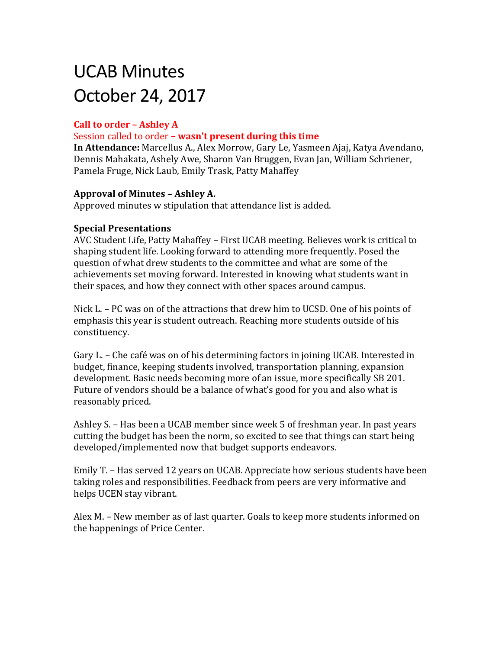# UCAB Minutes October 24, 2017

# **Call to order – Ashley A**

#### Session called to order **– wasn't present during this time**

**In Attendance:** Marcellus A., Alex Morrow, Gary Le, Yasmeen Ajaj, Katya Avendano, Dennis Mahakata, Ashely Awe, Sharon Van Bruggen, Evan Jan, William Schriener, Pamela Fruge, Nick Laub, Emily Trask, Patty Mahaffey

#### **Approval of Minutes – Ashley A.**

Approved minutes w stipulation that attendance list is added.

#### **Special Presentations**

AVC Student Life, Patty Mahaffey – First UCAB meeting. Believes work is critical to shaping student life. Looking forward to attending more frequently. Posed the question of what drew students to the committee and what are some of the achievements set moving forward. Interested in knowing what students want in their spaces, and how they connect with other spaces around campus.

Nick L. – PC was on of the attractions that drew him to UCSD. One of his points of emphasis this year is student outreach. Reaching more students outside of his constituency.

Gary L. – Che café was on of his determining factors in joining UCAB. Interested in budget, finance, keeping students involved, transportation planning, expansion development. Basic needs becoming more of an issue, more specifically SB 201. Future of vendors should be a balance of what's good for you and also what is reasonably priced.

Ashley S. – Has been a UCAB member since week 5 of freshman year. In past years cutting the budget has been the norm, so excited to see that things can start being developed/implemented now that budget supports endeavors.

Emily T. – Has served 12 years on UCAB. Appreciate how serious students have been taking roles and responsibilities. Feedback from peers are very informative and helps UCEN stay vibrant.

Alex M. – New member as of last quarter. Goals to keep more students informed on the happenings of Price Center.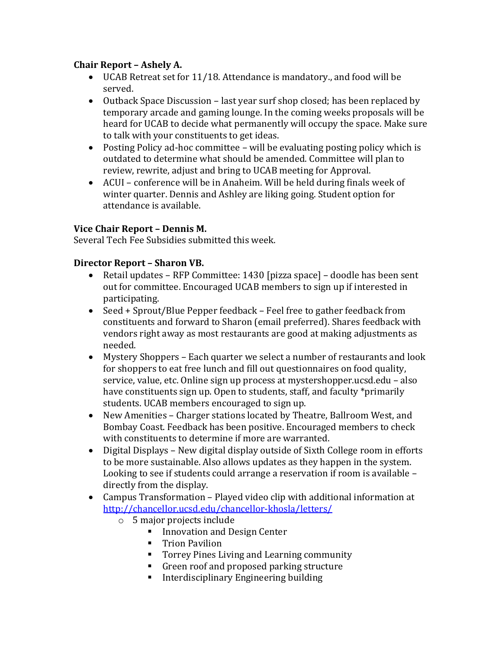### **Chair Report – Ashely A.**

- UCAB Retreat set for 11/18. Attendance is mandatory., and food will be served.
- Outback Space Discussion last year surf shop closed; has been replaced by temporary arcade and gaming lounge. In the coming weeks proposals will be heard for UCAB to decide what permanently will occupy the space. Make sure to talk with your constituents to get ideas.
- Posting Policy ad-hoc committee will be evaluating posting policy which is outdated to determine what should be amended. Committee will plan to review, rewrite, adjust and bring to UCAB meeting for Approval.
- ACUI conference will be in Anaheim. Will be held during finals week of winter quarter. Dennis and Ashley are liking going. Student option for attendance is available.

#### **Vice Chair Report – Dennis M.**

Several Tech Fee Subsidies submitted this week.

#### **Director Report – Sharon VB.**

- Retail updates RFP Committee: 1430 [pizza space] doodle has been sent out for committee. Encouraged UCAB members to sign up if interested in participating.
- Seed + Sprout/Blue Pepper feedback Feel free to gather feedback from constituents and forward to Sharon (email preferred). Shares feedback with vendors right away as most restaurants are good at making adjustments as needed.
- Mystery Shoppers Each quarter we select a number of restaurants and look for shoppers to eat free lunch and fill out questionnaires on food quality, service, value, etc. Online sign up process at mystershopper.ucsd.edu – also have constituents sign up. Open to students, staff, and faculty \*primarily students. UCAB members encouraged to sign up.
- New Amenities Charger stations located by Theatre, Ballroom West, and Bombay Coast. Feedback has been positive. Encouraged members to check with constituents to determine if more are warranted.
- Digital Displays New digital display outside of Sixth College room in efforts to be more sustainable. Also allows updates as they happen in the system. Looking to see if students could arrange a reservation if room is available – directly from the display.
- Campus Transformation Played video clip with additional information at <http://chancellor.ucsd.edu/chancellor-khosla/letters/>
	- o 5 major projects include
		- **Innovation and Design Center**
		- **Trion Pavilion**
		- **Torrey Pines Living and Learning community**
		- Green roof and proposed parking structure
		- **Interdisciplinary Engineering building**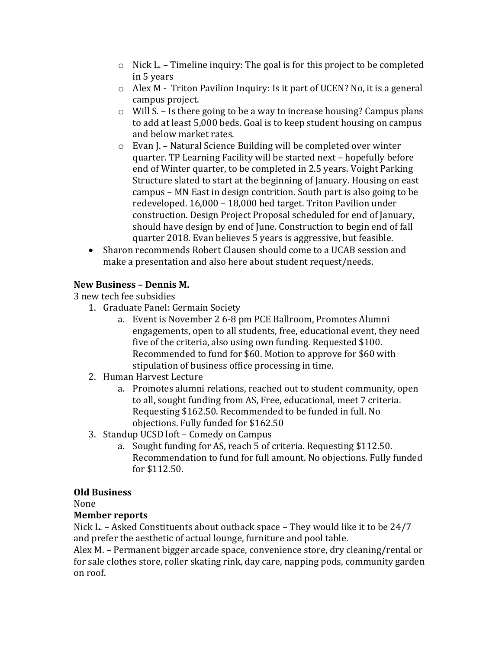- o Nick L. Timeline inquiry: The goal is for this project to be completed in 5 years
- o Alex M Triton Pavilion Inquiry: Is it part of UCEN? No, it is a general campus project.
- o Will S. Is there going to be a way to increase housing? Campus plans to add at least 5,000 beds. Goal is to keep student housing on campus and below market rates.
- o Evan J. Natural Science Building will be completed over winter quarter. TP Learning Facility will be started next – hopefully before end of Winter quarter, to be completed in 2.5 years. Voight Parking Structure slated to start at the beginning of January. Housing on east campus – MN East in design contrition. South part is also going to be redeveloped. 16,000 – 18,000 bed target. Triton Pavilion under construction. Design Project Proposal scheduled for end of January, should have design by end of June. Construction to begin end of fall quarter 2018. Evan believes 5 years is aggressive, but feasible.
- Sharon recommends Robert Clausen should come to a UCAB session and make a presentation and also here about student request/needs.

# **New Business – Dennis M.**

3 new tech fee subsidies

- 1. Graduate Panel: Germain Society
	- a. Event is November 2 6-8 pm PCE Ballroom, Promotes Alumni engagements, open to all students, free, educational event, they need five of the criteria, also using own funding. Requested \$100. Recommended to fund for \$60. Motion to approve for \$60 with stipulation of business office processing in time.
- 2. Human Harvest Lecture
	- a. Promotes alumni relations, reached out to student community, open to all, sought funding from AS, Free, educational, meet 7 criteria. Requesting \$162.50. Recommended to be funded in full. No objections. Fully funded for \$162.50
- 3. Standup UCSD loft Comedy on Campus
	- a. Sought funding for AS, reach 5 of criteria. Requesting \$112.50. Recommendation to fund for full amount. No objections. Fully funded for \$112.50.

# **Old Business**

None

# **Member reports**

Nick L. – Asked Constituents about outback space – They would like it to be 24/7 and prefer the aesthetic of actual lounge, furniture and pool table.

Alex M. – Permanent bigger arcade space, convenience store, dry cleaning/rental or for sale clothes store, roller skating rink, day care, napping pods, community garden on roof.